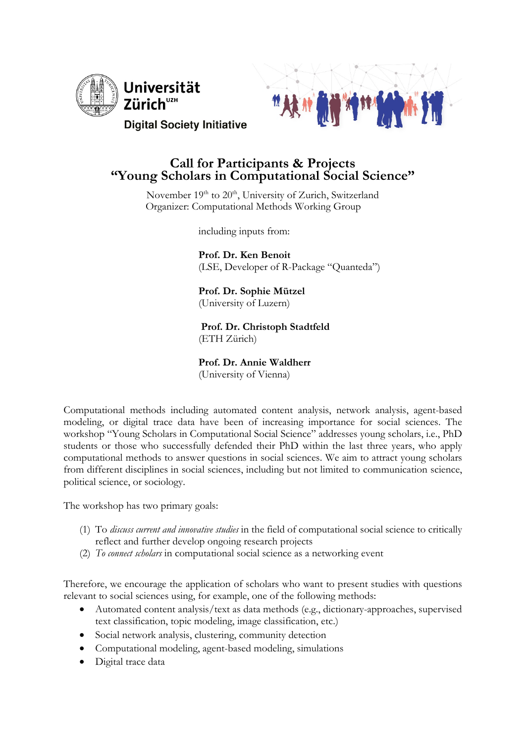



# **Call for Participants & Projects "Young Scholars in Computational Social Science"**

November 19<sup>th</sup> to 20<sup>th</sup>, University of Zurich, Switzerland Organizer: Computational Methods Working Group

including inputs from:

 **Prof. Dr. Ken Benoit**  (LSE, Developer of R-Package "Quanteda")

 **Prof. Dr. Sophie Mützel**  (University of Luzern)

 **Prof. Dr. Christoph Stadtfeld** (ETH Zürich)

## **Prof. Dr. Annie Waldherr**

(University of Vienna)

Computational methods including automated content analysis, network analysis, agent-based modeling, or digital trace data have been of increasing importance for social sciences. The workshop "Young Scholars in Computational Social Science" addresses young scholars, i.e., PhD students or those who successfully defended their PhD within the last three years, who apply computational methods to answer questions in social sciences. We aim to attract young scholars from different disciplines in social sciences, including but not limited to communication science, political science, or sociology.

The workshop has two primary goals:

- (1) To *discuss current and innovative studies* in the field of computational social science to critically reflect and further develop ongoing research projects
- (2) *To connect scholars* in computational social science as a networking event

Therefore, we encourage the application of scholars who want to present studies with questions relevant to social sciences using, for example, one of the following methods:

- Automated content analysis/text as data methods (e.g., dictionary-approaches, supervised text classification, topic modeling, image classification, etc.)
- Social network analysis, clustering, community detection
- Computational modeling, agent-based modeling, simulations
- Digital trace data